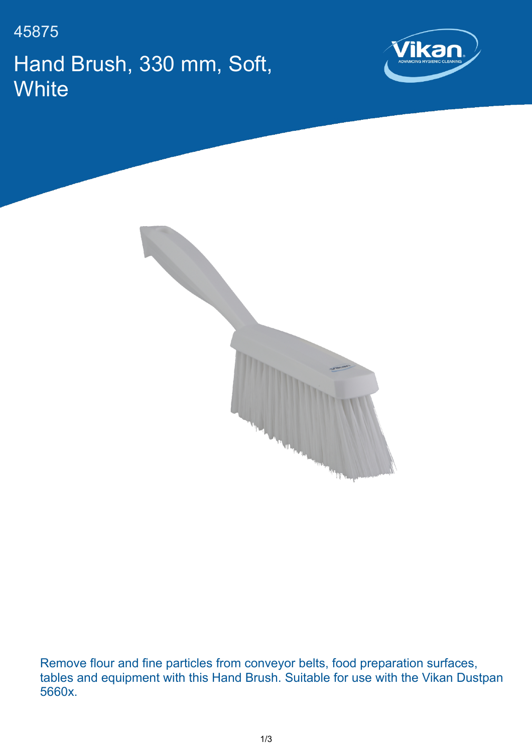45875 Hand Brush, 330 mm, Soft, **White** 





Remove flour and fine particles from conveyor belts, food preparation surfaces, tables and equipment with this Hand Brush. Suitable for use with the Vikan Dustpan 5660x.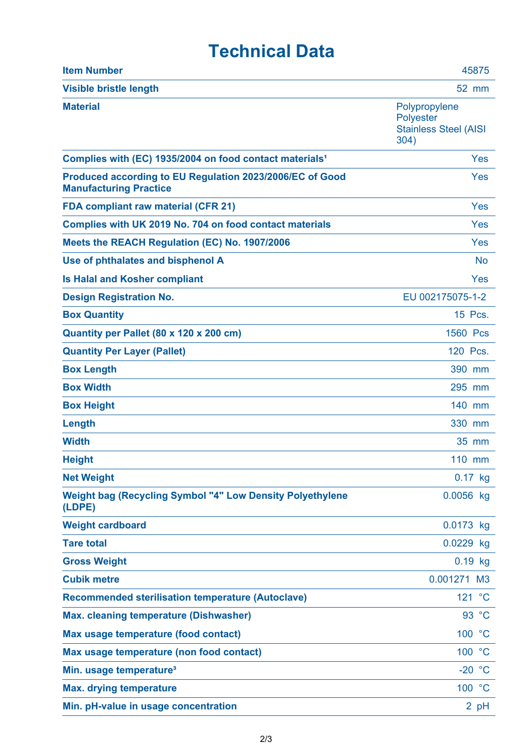## **Technical Data**

| <b>Item Number</b>                                                                        | 45875                                                                     |
|-------------------------------------------------------------------------------------------|---------------------------------------------------------------------------|
| <b>Visible bristle length</b>                                                             | 52 mm                                                                     |
| <b>Material</b>                                                                           | Polypropylene<br><b>Polyester</b><br><b>Stainless Steel (AISI</b><br>304) |
| Complies with (EC) 1935/2004 on food contact materials <sup>1</sup>                       | Yes                                                                       |
| Produced according to EU Regulation 2023/2006/EC of Good<br><b>Manufacturing Practice</b> | Yes                                                                       |
| <b>FDA compliant raw material (CFR 21)</b>                                                | Yes                                                                       |
| Complies with UK 2019 No. 704 on food contact materials                                   | Yes                                                                       |
| Meets the REACH Regulation (EC) No. 1907/2006                                             | Yes                                                                       |
| Use of phthalates and bisphenol A                                                         | <b>No</b>                                                                 |
| <b>Is Halal and Kosher compliant</b>                                                      | Yes                                                                       |
| <b>Design Registration No.</b>                                                            | EU 002175075-1-2                                                          |
| <b>Box Quantity</b>                                                                       | 15 Pcs.                                                                   |
| Quantity per Pallet (80 x 120 x 200 cm)                                                   | 1560 Pcs                                                                  |
| <b>Quantity Per Layer (Pallet)</b>                                                        | 120 Pcs.                                                                  |
| <b>Box Length</b>                                                                         | 390 mm                                                                    |
| <b>Box Width</b>                                                                          | 295 mm                                                                    |
| <b>Box Height</b>                                                                         | 140 mm                                                                    |
| Length                                                                                    | 330 mm                                                                    |
| <b>Width</b>                                                                              | 35 mm                                                                     |
| <b>Height</b>                                                                             | 110 mm                                                                    |
| <b>Net Weight</b>                                                                         | $0.17$ kg                                                                 |
| <b>Weight bag (Recycling Symbol "4" Low Density Polyethylene</b><br>(LDPE)                | 0.0056 kg                                                                 |
| <b>Weight cardboard</b>                                                                   | 0.0173 kg                                                                 |
| <b>Tare total</b>                                                                         | 0.0229 kg                                                                 |
| <b>Gross Weight</b>                                                                       | $0.19$ kg                                                                 |
| <b>Cubik metre</b>                                                                        | 0.001271 M3                                                               |
| <b>Recommended sterilisation temperature (Autoclave)</b>                                  | 121 °C                                                                    |
| <b>Max. cleaning temperature (Dishwasher)</b>                                             | 93 °C                                                                     |
| Max usage temperature (food contact)                                                      | 100 °C                                                                    |
| Max usage temperature (non food contact)                                                  | 100 °C                                                                    |
| Min. usage temperature <sup>3</sup>                                                       | $-20 °C$                                                                  |
| <b>Max. drying temperature</b>                                                            | 100 °C                                                                    |
| Min. pH-value in usage concentration                                                      | $2$ pH                                                                    |